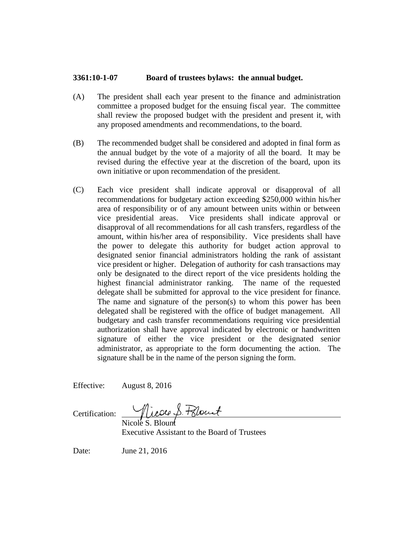## **3361:10-1-07 Board of trustees bylaws: the annual budget.**

- (A) The president shall each year present to the finance and administration committee a proposed budget for the ensuing fiscal year. The committee shall review the proposed budget with the president and present it, with any proposed amendments and recommendations, to the board.
- (B) The recommended budget shall be considered and adopted in final form as the annual budget by the vote of a majority of all the board. It may be revised during the effective year at the discretion of the board, upon its own initiative or upon recommendation of the president.
- (C) Each vice president shall indicate approval or disapproval of all recommendations for budgetary action exceeding \$250,000 within his/her area of responsibility or of any amount between units within or between vice presidential areas. Vice presidents shall indicate approval or disapproval of all recommendations for all cash transfers, regardless of the amount, within his/her area of responsibility. Vice presidents shall have the power to delegate this authority for budget action approval to designated senior financial administrators holding the rank of assistant vice president or higher. Delegation of authority for cash transactions may only be designated to the direct report of the vice presidents holding the highest financial administrator ranking. The name of the requested delegate shall be submitted for approval to the vice president for finance. The name and signature of the person(s) to whom this power has been delegated shall be registered with the office of budget management. All budgetary and cash transfer recommendations requiring vice presidential authorization shall have approval indicated by electronic or handwritten signature of either the vice president or the designated senior administrator, as appropriate to the form documenting the action. The signature shall be in the name of the person signing the form.

Effective: August 8, 2016

Certification:  $\overline{\phantom{a}}$ 

Nicole S. Blount Executive Assistant to the Board of Trustees

Date: June 21, 2016